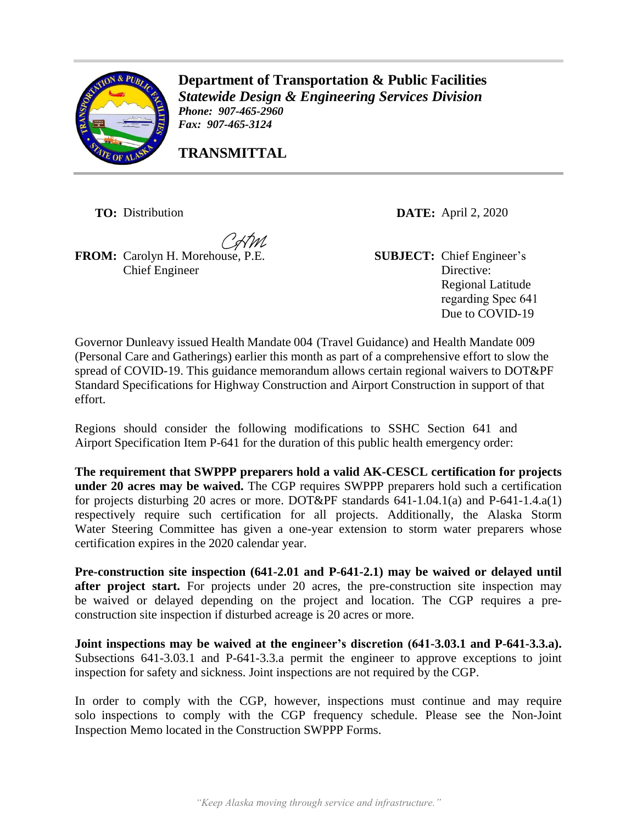

**Transportation & Public Facilities Department of Transportation & Public Facilities** *Statewide Design & Engineering Services Services Division Division Phone: 907-465-2960 Phone: 907-465-2960 Fax: 907-465-3124*

**TRANSMITTAL TRANSMITTAL**

**TRANSMITTAL** 

**FROM:** Carolyn H. Morehouse, P.E. **SUBJECT:** Chief Engineer's Chief Engineer

**TO:** Distribution **DATE:** April 2, 2020

Directive: Regional Latitude regarding Spec 641 Due to COVID-19

Governor Dunleavy issued Health Mandate 004 (Travel Guidance) and Health Mandate 009 (Personal Care and Gatherings) earlier this month as part of a comprehensive effort to slow the spread of COVID-19. This guidance memorandum allows certain regional waivers to DOT&PF Standard Specifications for Highway Construction and Airport Construction in support of that effort.

Regions should consider the following modifications to SSHC Section 641 and Airport Specification Item P-641 for the duration of this public health emergency order:

**The requirement that SWPPP preparers hold a valid AK-CESCL certification for projects under 20 acres may be waived.** The CGP requires SWPPP preparers hold such a certification for projects disturbing 20 acres or more. DOT&PF standards 641-1.04.1(a) and P-641-1.4.a(1) respectively require such certification for all projects. Additionally, the Alaska Storm Water Steering Committee has given a one-year extension to storm water preparers whose certification expires in the 2020 calendar year.

**Pre-construction site inspection (641-2.01 and P-641-2.1) may be waived or delayed until**  after project start. For projects under 20 acres, the pre-construction site inspection may be waived or delayed depending on the project and location. The CGP requires a preconstruction site inspection if disturbed acreage is 20 acres or more.

**Joint inspections may be waived at the engineer's discretion (641-3.03.1 and P-641-3.3.a).**  Subsections 641-3.03.1 and P-641-3.3.a permit the engineer to approve exceptions to joint inspection for safety and sickness. Joint inspections are not required by the CGP.

In order to comply with the CGP, however, inspections must continue and may require solo inspections to comply with the CGP frequency schedule. Please see the Non-Joint Inspection Memo located in the Construction SWPPP Forms.